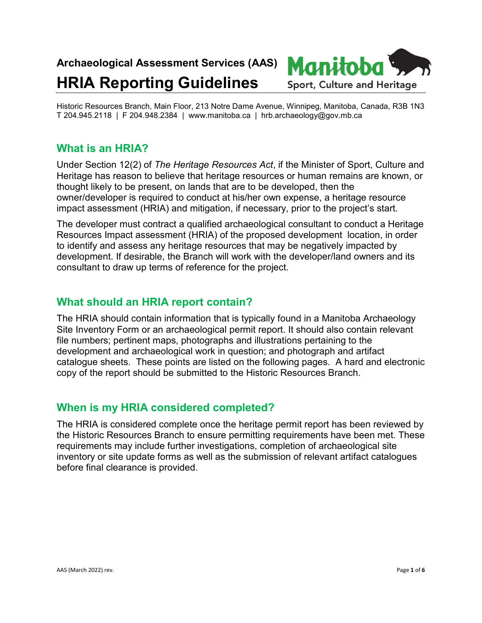# **Archaeological Assessment Services (AAS)**

# **HRIA Reporting Guidelines**



Historic Resources Branch, Main Floor, 213 Notre Dame Avenue, Winnipeg, Manitoba, Canada, R3B 1N3 T 204.945.2118 | F 204.948.2384 | www.manitoba.ca | hrb.archaeology@gov.mb.ca

# **What is an HRIA?**

Under Section 12(2) of *The Heritage Resources Act*, if the Minister of Sport, Culture and Heritage has reason to believe that heritage resources or human remains are known, or thought likely to be present, on lands that are to be developed, then the owner/developer is required to conduct at his/her own expense, a heritage resource impact assessment (HRIA) and mitigation, if necessary, prior to the project's start.

The developer must contract a qualified archaeological consultant to conduct a Heritage Resources Impact assessment (HRIA) of the proposed development location, in order to identify and assess any heritage resources that may be negatively impacted by development. If desirable, the Branch will work with the developer/land owners and its consultant to draw up terms of reference for the project.

# **What should an HRIA report contain?**

The HRIA should contain information that is typically found in a Manitoba Archaeology Site Inventory Form or an archaeological permit report. It should also contain relevant file numbers; pertinent maps, photographs and illustrations pertaining to the development and archaeological work in question; and photograph and artifact catalogue sheets. These points are listed on the following pages. A hard and electronic copy of the report should be submitted to the Historic Resources Branch.

## **When is my HRIA considered completed?**

The HRIA is considered complete once the heritage permit report has been reviewed by the Historic Resources Branch to ensure permitting requirements have been met. These requirements may include further investigations, completion of archaeological site inventory or site update forms as well as the submission of relevant artifact catalogues before final clearance is provided.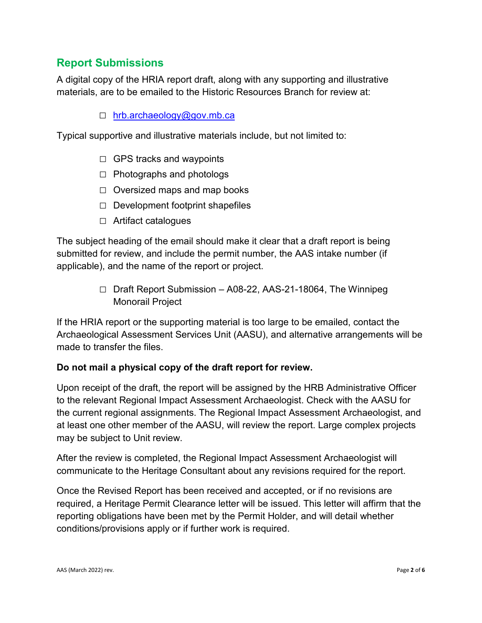# **Report Submissions**

A digital copy of the HRIA report draft, along with any supporting and illustrative materials, are to be emailed to the Historic Resources Branch for review at:

### □ [hrb.archaeology@gov.mb.ca](mailto:hrb.archaeology@gov.mb.ca)

Typical supportive and illustrative materials include, but not limited to:

- $\Box$  GPS tracks and waypoints
- $\Box$  Photographs and photologs
- $\Box$  Oversized maps and map books
- $\Box$  Development footprint shapefiles
- □ Artifact catalogues

The subject heading of the email should make it clear that a draft report is being submitted for review, and include the permit number, the AAS intake number (if applicable), and the name of the report or project.

> □ Draft Report Submission – A08-22, AAS-21-18064, The Winnipeg Monorail Project

If the HRIA report or the supporting material is too large to be emailed, contact the Archaeological Assessment Services Unit (AASU), and alternative arrangements will be made to transfer the files.

#### **Do not mail a physical copy of the draft report for review.**

Upon receipt of the draft, the report will be assigned by the HRB Administrative Officer to the relevant Regional Impact Assessment Archaeologist. Check with the AASU for the current regional assignments. The Regional Impact Assessment Archaeologist, and at least one other member of the AASU, will review the report. Large complex projects may be subject to Unit review.

After the review is completed, the Regional Impact Assessment Archaeologist will communicate to the Heritage Consultant about any revisions required for the report.

Once the Revised Report has been received and accepted, or if no revisions are required, a Heritage Permit Clearance letter will be issued. This letter will affirm that the reporting obligations have been met by the Permit Holder, and will detail whether conditions/provisions apply or if further work is required.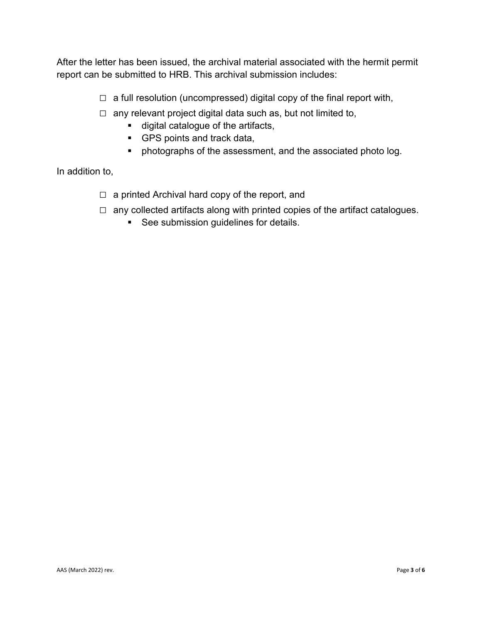After the letter has been issued, the archival material associated with the hermit permit report can be submitted to HRB. This archival submission includes:

- $\Box$  a full resolution (uncompressed) digital copy of the final report with,
- $\Box$  any relevant project digital data such as, but not limited to,
	- digital catalogue of the artifacts,
	- GPS points and track data,
	- photographs of the assessment, and the associated photo log.

In addition to,

- $\Box$  a printed Archival hard copy of the report, and
- $\Box$  any collected artifacts along with printed copies of the artifact catalogues.
	- **See submission guidelines for details.**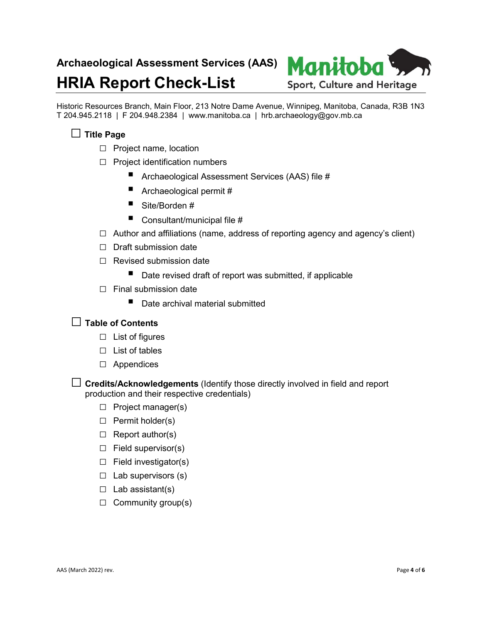# **HRIA Report Check-List**



Historic Resources Branch, Main Floor, 213 Notre Dame Avenue, Winnipeg, Manitoba, Canada, R3B 1N3 T 204.945.2118 | F 204.948.2384 | www.manitoba.ca | hrb.archaeology@gov.mb.ca

## □ **Title Page**

- □ Project name, location
- □ Project identification numbers
	- Archaeological Assessment Services (AAS) file #
	- Archaeological permit #
	- Site/Borden #
	- Consultant/municipal file  $#$
- $\Box$  Author and affiliations (name, address of reporting agency and agency's client)
- □ Draft submission date
- $\Box$  Revised submission date
	- Date revised draft of report was submitted, if applicable
- $\Box$  Final submission date
	- Date archival material submitted

#### □ **Table of Contents**

- □ List of figures
- □ List of tables
- □ Appendices
- □ **Credits/Acknowledgements** (Identify those directly involved in field and report production and their respective credentials)
	- □ Project manager(s)
	- □ Permit holder(s)
	- $\Box$  Report author(s)
	- $\Box$  Field supervisor(s)
	- $\Box$  Field investigator(s)
	- $\Box$  Lab supervisors (s)
	- $\Box$  Lab assistant(s)
	- $\Box$  Community group(s)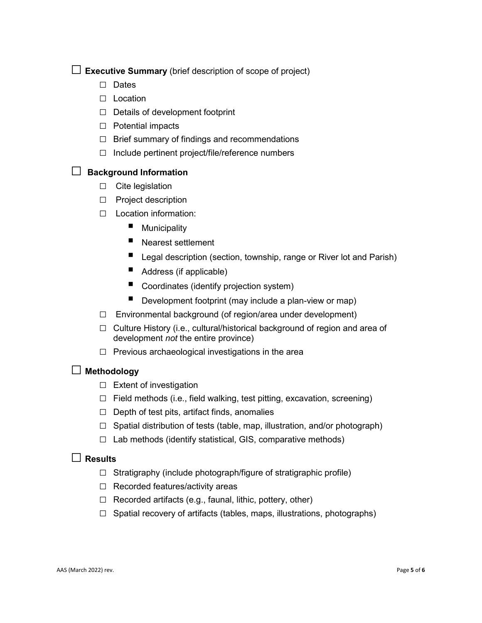$\Box$  **Executive Summary** (brief description of scope of project)

- □ Dates
- □ Location
- □ Details of development footprint
- □ Potential impacts
- $\Box$  Brief summary of findings and recommendations
- $\Box$  Include pertinent project/file/reference numbers

#### □ **Background Information**

- □ Cite legislation
- □ Project description
- □ Location information:
	- **Municipality**
	- Nearest settlement
	- Legal description (section, township, range or River lot and Parish)
	- Address (if applicable)
	- Coordinates (identify projection system)
	- Development footprint (may include a plan-view or map)
- $\Box$  Environmental background (of region/area under development)
- □ Culture History (i.e., cultural/historical background of region and area of development *not* the entire province)
- $\Box$  Previous archaeological investigations in the area

#### □ **Methodology**

- □ Extent of investigation
- $\Box$  Field methods (i.e., field walking, test pitting, excavation, screening)
- $\Box$  Depth of test pits, artifact finds, anomalies
- $\Box$  Spatial distribution of tests (table, map, illustration, and/or photograph)
- $\Box$  Lab methods (identify statistical, GIS, comparative methods)

## □ **Results**

- $\Box$  Stratigraphy (include photograph/figure of stratigraphic profile)
- □ Recorded features/activity areas
- $\Box$  Recorded artifacts (e.g., faunal, lithic, pottery, other)
- $\Box$  Spatial recovery of artifacts (tables, maps, illustrations, photographs)